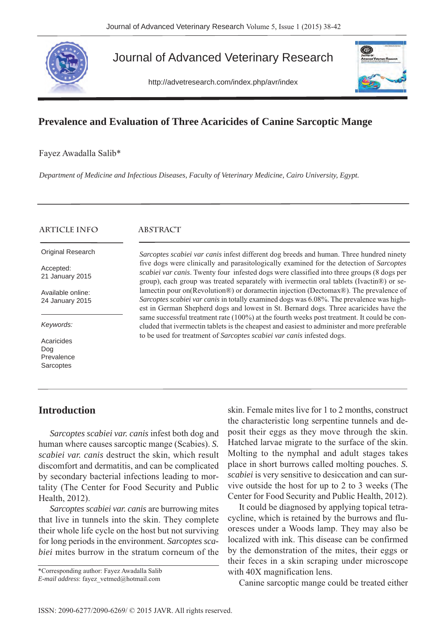

# Journal of Advanced Veterinary Research

http://advetresearch.com/index.php/avr/index



## **Prevalence and Evaluation of Three Acaricides of Canine Sarcoptic Mange**

Fayez Awadalla Salib\*

*Department of Medicine and Infectious Diseases, Faculty of Veterinary Medicine, Cairo University, Egypt.* 

| <b>ARTICLE INFO</b>                          | <b>ABSTRACT</b>                                                                                                                                                                                                                                                                           |
|----------------------------------------------|-------------------------------------------------------------------------------------------------------------------------------------------------------------------------------------------------------------------------------------------------------------------------------------------|
| <b>Original Research</b>                     | Sarcoptes scabiei var canis infest different dog breeds and human. Three hundred ninety                                                                                                                                                                                                   |
| Accepted:<br>21 January 2015                 | five dogs were clinically and parasitologically examined for the detection of Sarcoptes<br><i>scabiei var canis</i> . Twenty four infested dogs were classified into three groups (8 dogs per<br>group), each group was treated separately with ivermectin oral tablets (Ivactin®) or se- |
| Available online:<br>24 January 2015         | lamectin pour on (Revolution <sup>®</sup> ) or doramectin injection (Dectomax®). The prevalence of<br>Sarcoptes scabiei var canis in totally examined dogs was 6.08%. The prevalence was high-<br>est in German Shepherd dogs and lowest in St. Bernard dogs. Three acaricides have the   |
| Keywords:                                    | same successful treatment rate (100%) at the fourth weeks post treatment. It could be con-<br>cluded that ivermectin tablets is the cheapest and easiest to administer and more preferable<br>to be used for treatment of Sarcoptes scabiei var canis infested dogs.                      |
| Acaricides<br>Dog<br>Prevalence<br>Sarcoptes |                                                                                                                                                                                                                                                                                           |

### **Introduction**

*Sarcoptes scabiei var. canis* infest both dog and human where causes sarcoptic mange (Scabies). *S. scabiei var. canis* destruct the skin, which result discomfort and dermatitis, and can be complicated by secondary bacterial infections leading to mortality (The Center for Food Security and Public Health, 2012).

*Sarcoptes scabiei var. canis* are burrowing mites that live in tunnels into the skin. They complete their whole life cycle on the host but not surviving for long periods in the environment. *Sarcoptes scabiei* mites burrow in the stratum corneum of the skin. Female mites live for 1 to 2 months, construct the characteristic long serpentine tunnels and deposit their eggs as they move through the skin. Hatched larvae migrate to the surface of the skin. Molting to the nymphal and adult stages takes place in short burrows called molting pouches. *S. scabiei* is very sensitive to desiccation and can survive outside the host for up to 2 to 3 weeks (The Center for Food Security and Public Health, 2012).

It could be diagnosed by applying topical tetracycline, which is retained by the burrows and fluoresces under a Woods lamp. They may also be localized with ink. This disease can be confirmed by the demonstration of the mites, their eggs or their feces in a skin scraping under microscope with 40X magnification lens.

Canine sarcoptic mange could be treated either

<sup>\*</sup>Corresponding author: Fayez Awadalla Salib *E-mail address*: fayez\_vetmed@hotmail.com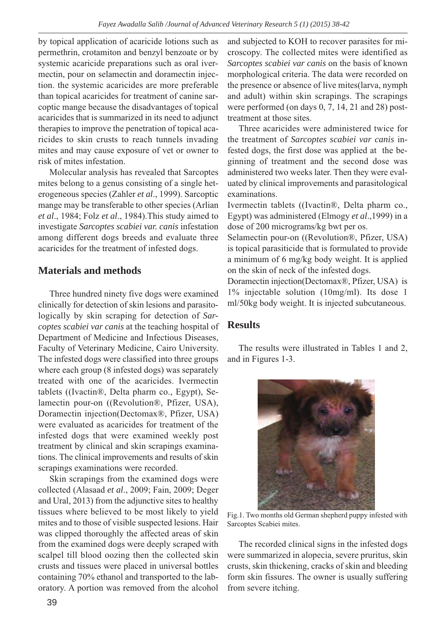by topical application of acaricide lotions such as permethrin, crotamiton and benzyl benzoate or by systemic acaricide preparations such as oral ivermectin, pour on selamectin and doramectin injection. the systemic acaricides are more preferable than topical acaricides for treatment of canine sarcoptic mange because the disadvantages of topical acaricides that is summarized in its need to adjunct therapies to improve the penetration of topical acaricides to skin crusts to reach tunnels invading mites and may cause exposure of vet or owner to risk of mites infestation.

Molecular analysis has revealed that Sarcoptes mites belong to a genus consisting of a single heterogeneous species (Zahler *et al*., 1999). Sarcoptic mange may be transferable to other species (Arlian *et al*., 1984; Folz *et al*., 1984).This study aimed to investigate *Sarcoptes scabiei var. canis* infestation among different dogs breeds and evaluate three acaricides for the treatment of infested dogs.

### **Materials and methods**

Three hundred ninety five dogs were examined clinically for detection of skin lesions and parasitologically by skin scraping for detection of *Sarcoptes scabiei var canis* at the teaching hospital of Department of Medicine and Infectious Diseases, Faculty of Veterinary Medicine, Cairo University. The infested dogs were classified into three groups where each group (8 infested dogs) was separately treated with one of the acaricides. Ivermectin tablets ((Ivactin®, Delta pharm co., Egypt), Selamectin pour-on ((Revolution®, Pfizer, USA), Doramectin injection(Dectomax®, Pfizer, USA) were evaluated as acaricides for treatment of the infested dogs that were examined weekly post treatment by clinical and skin scrapings examinations. The clinical improvements and results of skin scrapings examinations were recorded.

Skin scrapings from the examined dogs were collected (Alasaad *et al*., 2009; Fain, 2009; Deger and Ural, 2013) from the adjunctive sites to healthy tissues where believed to be most likely to yield mites and to those of visible suspected lesions. Hair was clipped thoroughly the affected areas of skin from the examined dogs were deeply scraped with scalpel till blood oozing then the collected skin crusts and tissues were placed in universal bottles containing 70% ethanol and transported to the laboratory. A portion was removed from the alcohol

and subjected to KOH to recover parasites for microscopy. The collected mites were identified as *Sarcoptes scabiei var canis* on the basis of known morphological criteria. The data were recorded on the presence or absence of live mites(larva, nymph and adult) within skin scrapings. The scrapings were performed (on days 0, 7, 14, 21 and 28) posttreatment at those sites.

Three acaricides were administered twice for the treatment of *Sarcoptes scabiei var canis* infested dogs, the first dose was applied at the beginning of treatment and the second dose was administered two weeks later. Then they were evaluated by clinical improvements and parasitological examinations.

Ivermectin tablets ((Ivactin®, Delta pharm co., Egypt) was administered (Elmogy *et al*.,1999) in a dose of 200 micrograms/kg bwt per os.

Selamectin pour-on ((Revolution®, Pfizer, USA) is topical parasiticide that is formulated to provide a minimum of 6 mg/kg body weight. It is applied on the skin of neck of the infested dogs.

Doramectin injection(Dectomax®, Pfizer, USA) is 1% injectable solution (10mg/ml). Its dose 1 ml/50kg body weight. It is injected subcutaneous.

### **Results**

The results were illustrated in Tables 1 and 2, and in Figures 1-3.



Fig.1. Two months old German shepherd puppy infested with Sarcoptes Scabiei mites.

The recorded clinical signs in the infested dogs were summarized in alopecia, severe pruritus, skin crusts, skin thickening, cracks of skin and bleeding form skin fissures. The owner is usually suffering from severe itching.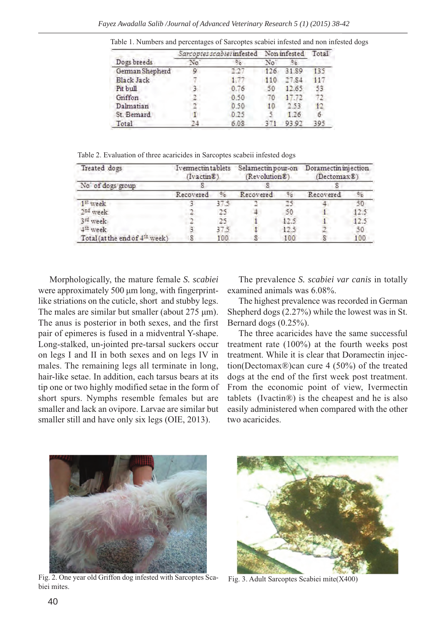|                   | Sarcoptes scabiei infested Non infested |      |     |       |     |
|-------------------|-----------------------------------------|------|-----|-------|-----|
| Dogs breeds       | No                                      |      | No  |       |     |
| German Shepherd   | ٥                                       |      | 126 | 31.89 | 135 |
| <b>Black Jack</b> |                                         |      | 110 | 27.84 | 447 |
| Pit bull          |                                         | 0.76 | 50  | 12.65 | 53  |
| Griffon           |                                         | 0.50 | 70  | 17.72 |     |
| Dalmatian         |                                         | 0.50 | 10  | 2.53  |     |
| St. Bemard        |                                         | 0.25 |     | 1.26  |     |
| Total             | œ                                       | 6.08 |     | 93.92 | 395 |

Table 1. Numbers and percentages of Sarcoptes scabiei infested and non infested dogs

Table 2. Evaluation of three acaricides in Sarcoptes scabeii infested dogs

| Treated dogs                               | Ivennectintablets<br>$(Ivactin\mathcal{E})$ |               | Selamectin pour-on<br>(Revolution E) |      | Doramectin injection.<br>(Dectomax <sup>8</sup> ) |      |
|--------------------------------------------|---------------------------------------------|---------------|--------------------------------------|------|---------------------------------------------------|------|
| No of dogs group                           |                                             |               |                                      |      |                                                   |      |
|                                            | Recovered                                   | $\frac{0}{2}$ | Recovered                            |      | Recovered                                         |      |
| 1 <sup>st</sup> week                       |                                             | 47.5          |                                      | 75   |                                                   | 50   |
| 2nd week                                   |                                             |               |                                      | 50   |                                                   | 12.5 |
| 3 <sup>rd</sup> week                       |                                             | 25            |                                      | 17.5 |                                                   | 12.5 |
| 4 <sup>th</sup> week                       |                                             | 375           |                                      | 12.5 |                                                   | 50   |
| Total (at the end of 4 <sup>th</sup> week) |                                             | 100           |                                      | 100  |                                                   | 100  |

Morphologically, the mature female *S. scabiei* were approximately 500 μm long, with fingerprintlike striations on the cuticle, short and stubby legs. The males are similar but smaller (about 275 μm). The anus is posterior in both sexes, and the first pair of epimeres is fused in a midventral Y-shape. Long-stalked, un-jointed pre-tarsal suckers occur on legs I and II in both sexes and on legs IV in males. The remaining legs all terminate in long, hair-like setae. In addition, each tarsus bears at its tip one or two highly modified setae in the form of short spurs. Nymphs resemble females but are smaller and lack an ovipore. Larvae are similar but smaller still and have only six legs (OIE, 2013).

The prevalence *S. scabiei var canis* in totally examined animals was 6.08%.

The highest prevalence was recorded in German Shepherd dogs (2.27%) while the lowest was in St. Bernard dogs (0.25%).

The three acaricides have the same successful treatment rate (100%) at the fourth weeks post treatment. While it is clear that Doramectin injection(Dectomax®)can cure 4 (50%) of the treated dogs at the end of the first week post treatment. From the economic point of view, Ivermectin tablets (Ivactin®) is the cheapest and he is also easily administered when compared with the other two acaricides.



Fig. 2. One year old Griffon dog infested with Sarcoptes Scabiei mites.



Fig. 3. Adult Sarcoptes Scabiei mite(X400)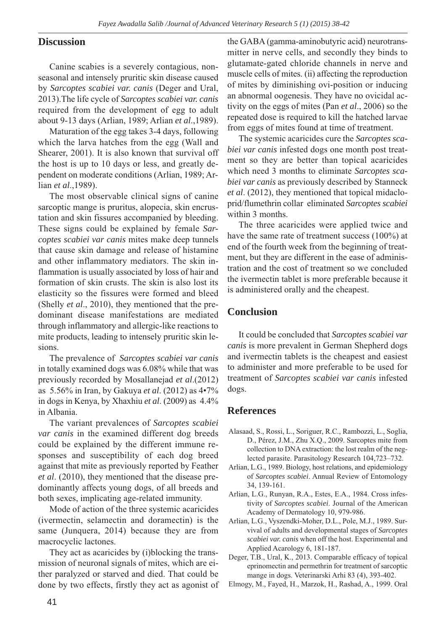#### **Discussion**

Canine scabies is a severely contagious, nonseasonal and intensely pruritic skin disease caused by *Sarcoptes scabiei var. canis* (Deger and Ural, 2013).The life cycle of *Sarcoptes scabiei var. canis* required from the development of egg to adult about 9-13 days (Arlian, 1989; Arlian *et al*.,1989).

Maturation of the egg takes 3-4 days, following which the larva hatches from the egg (Wall and Shearer, 2001). It is also known that survival off the host is up to 10 days or less, and greatly dependent on moderate conditions (Arlian, 1989; Arlian *et al*.,1989).

The most observable clinical signs of canine sarcoptic mange is pruritus, alopecia, skin encrustation and skin fissures accompanied by bleeding. These signs could be explained by female *Sarcoptes scabiei var canis* mites make deep tunnels that cause skin damage and release of histamine and other inflammatory mediators. The skin inflammation is usually associated by loss of hair and formation of skin crusts. The skin is also lost its elasticity so the fissures were formed and bleed (Shelly *et al*., 2010), they mentioned that the predominant disease manifestations are mediated through inflammatory and allergic-like reactions to mite products, leading to intensely pruritic skin lesions.

The prevalence of *Sarcoptes scabiei var canis* in totally examined dogs was 6.08% while that was previously recorded by Mosallanejad *et al*.(2012) as 5.56% in Iran, by Gakuya *et al*. (2012) as 4•7% in dogs in Kenya, by Xhaxhiu *et al*. (2009) as 4.4% in Albania.

The variant prevalences of *Sarcoptes scabiei var canis* in the examined different dog breeds could be explained by the different immune responses and susceptibility of each dog breed against that mite as previously reported by Feather *et al*. (2010), they mentioned that the disease predominantly affects young dogs, of all breeds and both sexes, implicating age-related immunity.

Mode of action of the three systemic acaricides (ivermectin, selamectin and doramectin) is the same (Junquera, 2014) because they are from macrocyclic lactones.

They act as acaricides by (i)blocking the transmission of neuronal signals of mites, which are either paralyzed or starved and died. That could be done by two effects, firstly they act as agonist of the GABA (gamma-aminobutyric acid) neurotransmitter in nerve cells, and secondly they binds to glutamate-gated chloride channels in nerve and muscle cells of mites. (ii) affecting the reproduction of mites by diminishing ovi-position or inducing an abnormal oogenesis. They have no ovicidal activity on the eggs of mites (Pan *et al*., 2006) so the repeated dose is required to kill the hatched larvae from eggs of mites found at time of treatment.

The systemic acaricides cure the *Sarcoptes scabiei var canis* infested dogs one month post treatment so they are better than topical acaricides which need 3 months to eliminate *Sarcoptes scabiei var canis* as previously described by Stanneck *et al*. (2012), they mentioned that topical midacloprid/flumethrin collar eliminated *Sarcoptes scabiei* within 3 months.

The three acaricides were applied twice and have the same rate of treatment success (100%) at end of the fourth week from the beginning of treatment, but they are different in the ease of administration and the cost of treatment so we concluded the ivermectin tablet is more preferable because it is administered orally and the cheapest.

#### **Conclusion**

It could be concluded that *Sarcoptes scabiei var canis* is more prevalent in German Shepherd dogs and ivermectin tablets is the cheapest and easiest to administer and more preferable to be used for treatment of *Sarcoptes scabiei var canis* infested dogs.

#### **References**

- Alasaad, S., Rossi, L., Soriguer, R.C., Rambozzi, L., Soglia, D., Pérez, J.M., Zhu X.Q., 2009. Sarcoptes mite from collection to DNA extraction: the lost realm of the neglected parasite. Parasitology Research 104,723–732.
- Arlian, L.G., 1989. Biology, host relations, and epidemiology of *Sarcoptes scabiei*. Annual Review of Entomology 34, 139-161.
- Arlian, L.G., Runyan, R.A., Estes, E.A., 1984. Cross infestivity of *Sarcoptes scabiei*. Journal of the American Academy of Dermatology 10, 979-986.
- Arlian, L.G., Vyszendki-Moher, D.L., Pole, M.J., 1989. Survival of adults and developmental stages of *Sarcoptes scabiei var. canis* when off the host. Experimental and Applied Acarology 6, 181-187.
- Deger, T.B., Ural, K., 2013. Comparable efficacy of topical eprinomectin and permethrin for treatment of sarcoptic mange in dogs. Veterinarski Arhi 83 (4), 393-402.
- Elmogy, M., Fayed, H., Marzok, H., Rashad, A., 1999. Oral